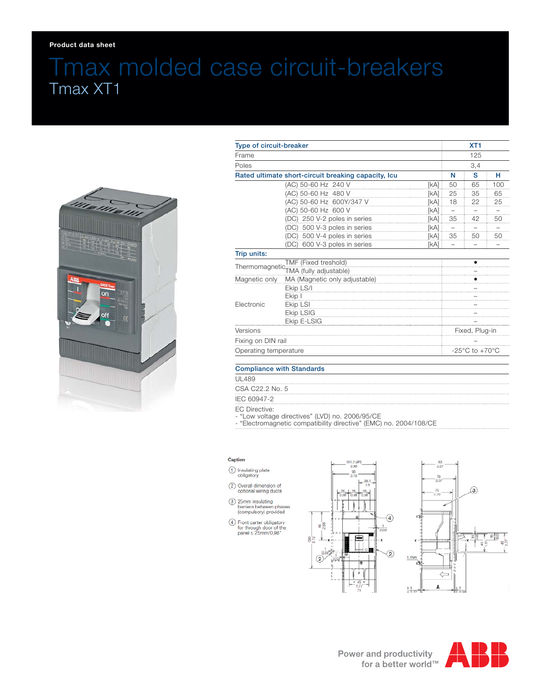## Tmax molded case circuit-breakers Tmax XT1



| Type of circuit-breaker<br>Frame<br>Poles |                                 |                | XT <sub>1</sub><br>125<br>3,4      |    |                                                |                                                     |                     |      |    |    |
|-------------------------------------------|---------------------------------|----------------|------------------------------------|----|------------------------------------------------|-----------------------------------------------------|---------------------|------|----|----|
|                                           |                                 |                |                                    |    |                                                | Rated ultimate short-circuit breaking capacity, Icu |                     | N    | S  | н  |
|                                           |                                 |                |                                    |    |                                                |                                                     | (AC) 50-60 Hz 240 V | [kA] | 50 | 65 |
|                                           | (AC) 50-60 Hz 480 V             | <b>[kA]</b>    | 25                                 | 35 | 65                                             |                                                     |                     |      |    |    |
|                                           | (AC) 50-60 Hz 600Y/347 V        | <b>[kA]</b>    | 18                                 | 22 | 25                                             |                                                     |                     |      |    |    |
|                                           | (AC) 50-60 Hz 600 V             | <b>[kA]</b>    |                                    |    |                                                |                                                     |                     |      |    |    |
|                                           | (DC) 250 V-2 poles in series    | [kA]           | 35                                 | 42 | 50                                             |                                                     |                     |      |    |    |
|                                           | (DC) 500 V-3 poles in series    | <b>[kA]</b>    | $\qquad \qquad$                    |    |                                                |                                                     |                     |      |    |    |
|                                           | (DC) 500 V-4 poles in series    | [kA]           | 35                                 | 50 | 50                                             |                                                     |                     |      |    |    |
|                                           | 600 V-3 poles in series<br>(DC) | [kA]           |                                    |    |                                                |                                                     |                     |      |    |    |
| Trip units:                               |                                 |                |                                    |    |                                                |                                                     |                     |      |    |    |
| TMF (Fixed treshold)                      |                                 |                |                                    |    |                                                |                                                     |                     |      |    |    |
|                                           |                                 |                |                                    |    | MA (Magnetic only adjustable)<br>Magnetic only |                                                     |                     |      |    |    |
|                                           | Ekip LS/I                       |                |                                    |    |                                                |                                                     |                     |      |    |    |
|                                           | Ekip I                          |                |                                    |    |                                                |                                                     |                     |      |    |    |
| Electronic                                | Ekip LSI                        |                |                                    |    |                                                |                                                     |                     |      |    |    |
|                                           | <b>Ekip LSIG</b>                |                |                                    |    |                                                |                                                     |                     |      |    |    |
|                                           | Ekip E-LSIG                     |                |                                    |    |                                                |                                                     |                     |      |    |    |
| Versions                                  |                                 | Fixed, Plug-in |                                    |    |                                                |                                                     |                     |      |    |    |
| Fixing on DIN rail                        |                                 |                |                                    |    |                                                |                                                     |                     |      |    |    |
| Operating temperature                     |                                 |                | $-25^{\circ}$ C to $+70^{\circ}$ C |    |                                                |                                                     |                     |      |    |    |

UL489

CSA C22.2 No. 5

IEC 60947-2

EC Directive:

- "Low voltage directives" (LVD) no. 2006/95/CE

- "Electromagnetic compatibility directive" (EMC) no. 2004/108/CE

## Caption

- (1) Insulating plate<br>obligatory
- 2 Overall dimension of<br>optional wiring ducts
- 3 25mm insulating<br>barriers between phases<br>(compulsory) provided
- $\begin{array}{ll} \textcircled{4} & \text{Front Carter~obligatory} \\ & \text{for through door of the panel} \leq 25 \text{mm} / 0,98 \text{*} \end{array}$